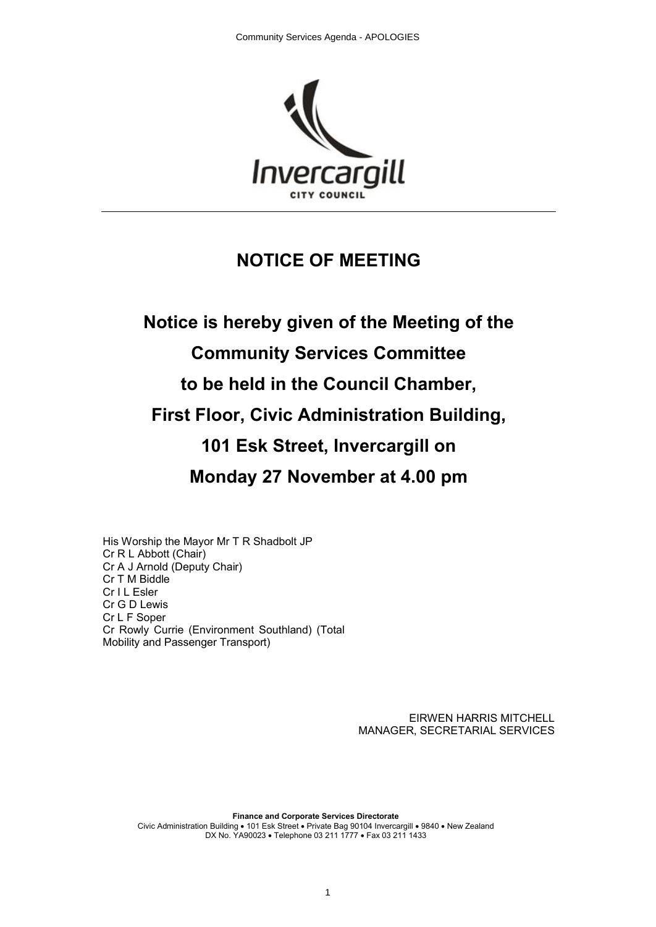

# **NOTICE OF MEETING**

# **Notice is hereby given of the Meeting of the Community Services Committee to be held in the Council Chamber, First Floor, Civic Administration Building, 101 Esk Street, Invercargill on Monday 27 November at 4.00 pm**

His Worship the Mayor Mr T R Shadbolt JP Cr R L Abbott (Chair) Cr A J Arnold (Deputy Chair) Cr T M Biddle Cr I L Esler Cr G D Lewis Cr L F Soper Cr Rowly Currie (Environment Southland) (Total Mobility and Passenger Transport)

> EIRWEN HARRIS MITCHELL MANAGER, SECRETARIAL SERVICES

**Finance and Corporate Services Directorate** Civic Administration Building • 101 Esk Street • Private Bag 90104 Invercargill • 9840 • New Zealand DX No. YA90023 • Telephone 03 211 1777 • Fax 03 211 1433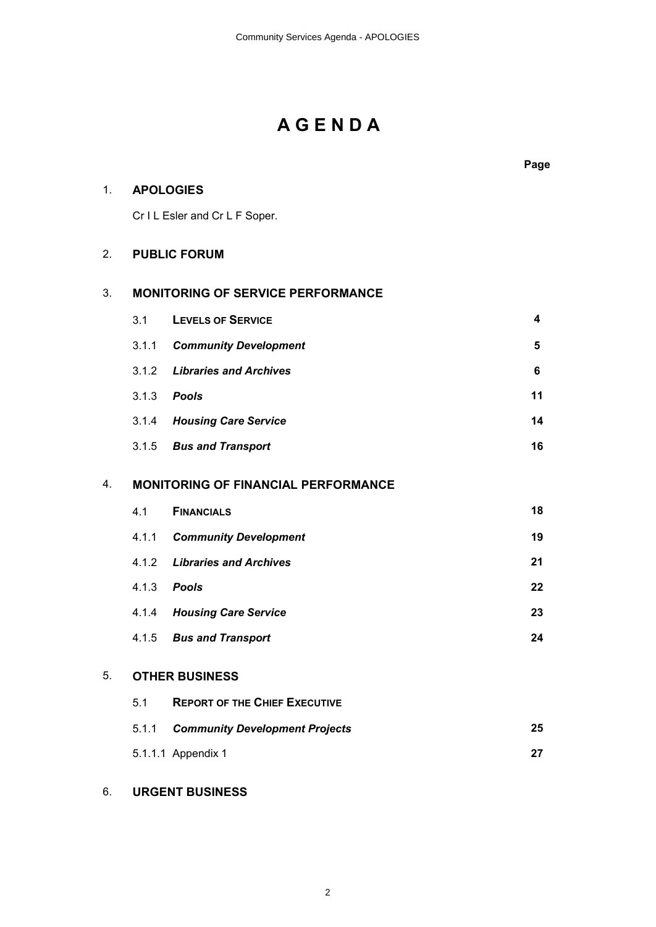# **A G E N D A**

**Page** 1. **APOLOGIES** Cr I L Esler and Cr L F Soper. 2. **PUBLIC FORUM** 3. **MONITORING OF SERVICE PERFORMANCE** 3.1 **LEVELS OF SERVICE 4** 3.1.1 *Community Development* **5** 3.1.2 *Libraries and Archives* **6** 3.1.3 *Pools* **11** 3.1.4 *Housing Care Service* **14** 3.1.5 *Bus and Transport* **16** 4. **MONITORING OF FINANCIAL PERFORMANCE** 4.1 **FINANCIALS 18** 4.1.1 *Community Development* **19** 4.1.2 *Libraries and Archives* **21** 4.1.3 *Pools* **22** 4.1.4 *Housing Care Service* **23** 4.1.5 *Bus and Transport* **24** 5. **OTHER BUSINESS** 5.1 **REPORT OF THE CHIEF EXECUTIVE** 5.1.1 *Community Development Projects* **25** 5.1.1.1 Appendix 1 **27**

# 6. **URGENT BUSINESS**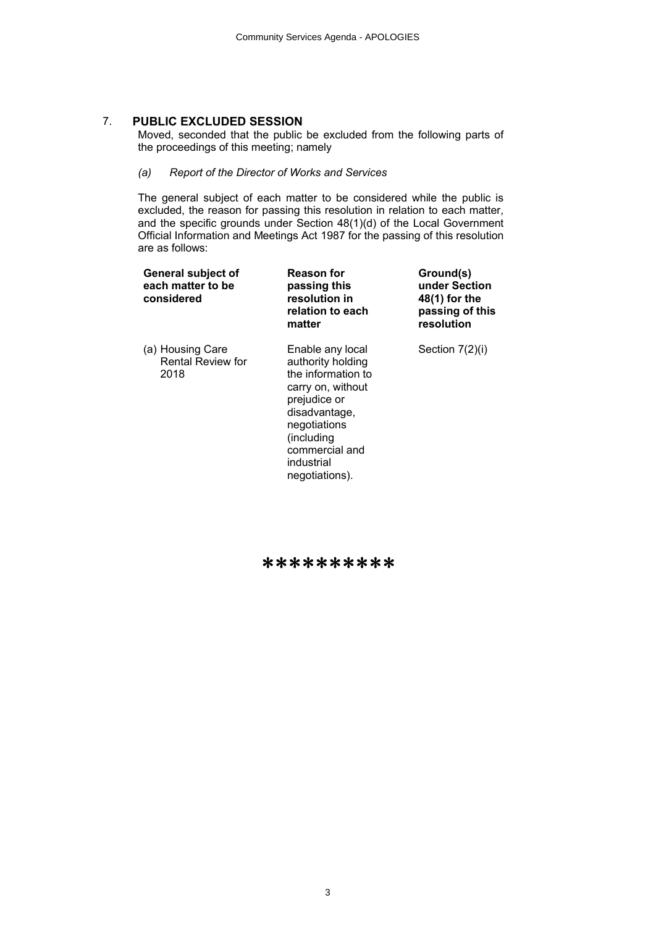# 7. **PUBLIC EXCLUDED SESSION**

Moved, seconded that the public be excluded from the following parts of the proceedings of this meeting; namely

*(a) Report of the Director of Works and Services*

The general subject of each matter to be considered while the public is excluded, the reason for passing this resolution in relation to each matter, and the specific grounds under Section 48(1)(d) of the Local Government Official Information and Meetings Act 1987 for the passing of this resolution are as follows:

| General subject of<br>each matter to be<br>considered | <b>Reason for</b><br>passing this<br>resolution in<br>relation to each<br>matter                                                                                                                  | Ground(s)<br>under Section<br>48(1) for the<br>passing of this<br>resolution |
|-------------------------------------------------------|---------------------------------------------------------------------------------------------------------------------------------------------------------------------------------------------------|------------------------------------------------------------------------------|
| (a) Housing Care<br><b>Rental Review for</b><br>2018  | Enable any local<br>authority holding<br>the information to<br>carry on, without<br>prejudice or<br>disadvantage,<br>negotiations<br>(including<br>commercial and<br>industrial<br>negotiations). | Section 7(2)(i)                                                              |

\*\*\*\*\*\*\*\*\*\*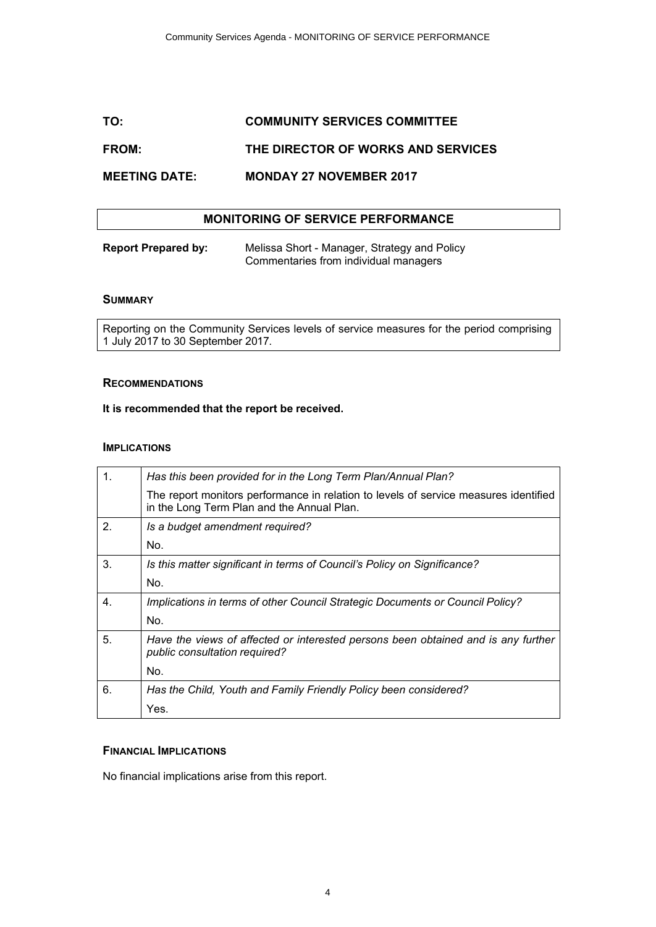# **TO: COMMUNITY SERVICES COMMITTEE**

# **FROM: THE DIRECTOR OF WORKS AND SERVICES**

# **MEETING DATE: MONDAY 27 NOVEMBER 2017**

## **MONITORING OF SERVICE PERFORMANCE**

| <b>Report Prepared by:</b> | Melissa Short - Manager, Strategy and Policy |
|----------------------------|----------------------------------------------|
|                            | Commentaries from individual managers        |

#### **SUMMARY**

Reporting on the Community Services levels of service measures for the period comprising 1 July 2017 to 30 September 2017.

#### **RECOMMENDATIONS**

### **It is recommended that the report be received.**

#### **IMPLICATIONS**

| 1. | Has this been provided for in the Long Term Plan/Annual Plan?                                                                      |
|----|------------------------------------------------------------------------------------------------------------------------------------|
|    | The report monitors performance in relation to levels of service measures identified<br>in the Long Term Plan and the Annual Plan. |
| 2. | Is a budget amendment required?                                                                                                    |
|    | No.                                                                                                                                |
| 3. | Is this matter significant in terms of Council's Policy on Significance?                                                           |
|    | No.                                                                                                                                |
| 4. | Implications in terms of other Council Strategic Documents or Council Policy?                                                      |
|    | No.                                                                                                                                |
| 5. | Have the views of affected or interested persons been obtained and is any further<br>public consultation required?                 |
|    | No.                                                                                                                                |
| 6. | Has the Child, Youth and Family Friendly Policy been considered?                                                                   |
|    | Yes.                                                                                                                               |

#### **FINANCIAL IMPLICATIONS**

No financial implications arise from this report.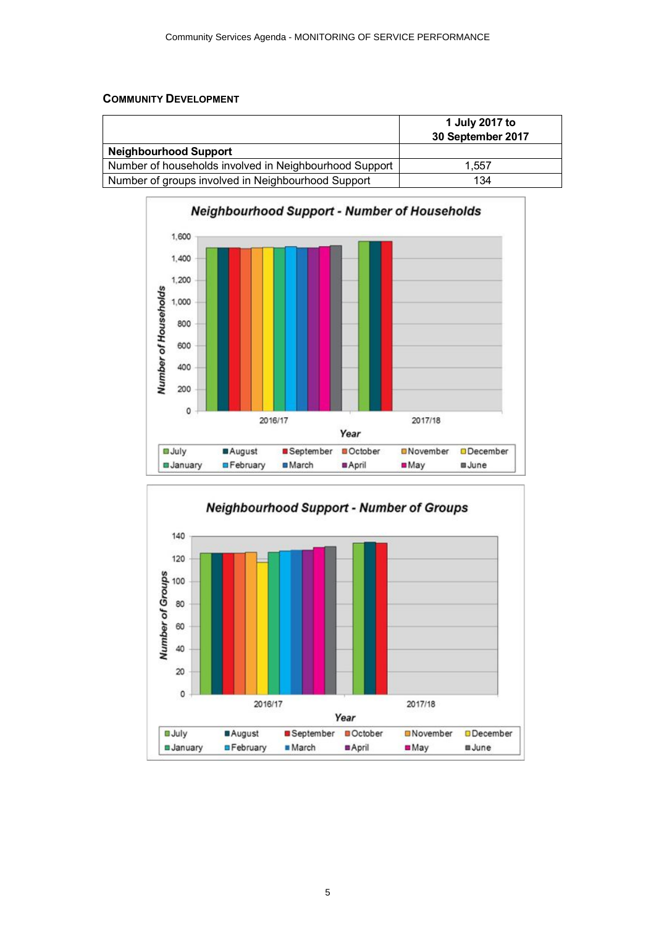# **COMMUNITY DEVELOPMENT**

|                                                        | 1 July 2017 to<br>30 September 2017 |
|--------------------------------------------------------|-------------------------------------|
| <b>Neighbourhood Support</b>                           |                                     |
| Number of households involved in Neighbourhood Support | 1.557                               |
| Number of groups involved in Neighbourhood Support     | 134                                 |



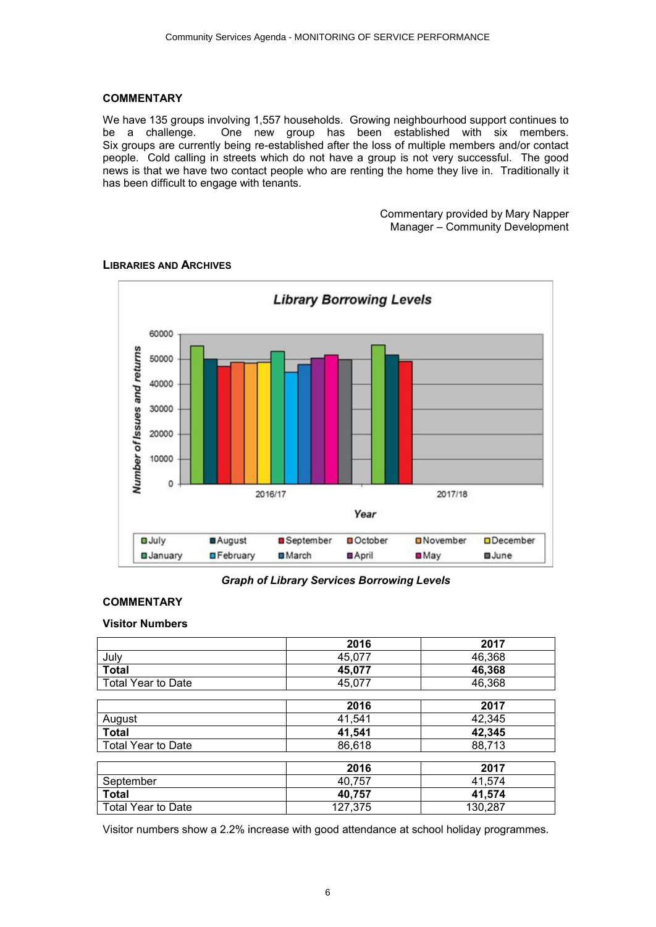## **COMMENTARY**

We have 135 groups involving 1,557 households. Growing neighbourhood support continues to be a challenge. One new group has been established with six members. Six groups are currently being re-established after the loss of multiple members and/or contact people. Cold calling in streets which do not have a group is not very successful. The good news is that we have two contact people who are renting the home they live in. Traditionally it has been difficult to engage with tenants.

> Commentary provided by Mary Napper Manager – Community Development



# **LIBRARIES AND ARCHIVES**

*Graph of Library Services Borrowing Levels*

# **COMMENTARY**

# **Visitor Numbers**

|                           | 2016    | 2017    |
|---------------------------|---------|---------|
| July                      | 45,077  | 46,368  |
| <b>Total</b>              | 45,077  | 46,368  |
| Total Year to Date        | 45,077  | 46,368  |
|                           |         |         |
|                           | 2016    | 2017    |
| August                    | 41,541  | 42,345  |
| Total                     | 41,541  | 42,345  |
| <b>Total Year to Date</b> | 86,618  | 88,713  |
|                           |         |         |
|                           | 2016    | 2017    |
| September                 | 40,757  | 41,574  |
| <b>Total</b>              | 40,757  | 41,574  |
| <b>Total Year to Date</b> | 127,375 | 130,287 |

Visitor numbers show a 2.2% increase with good attendance at school holiday programmes.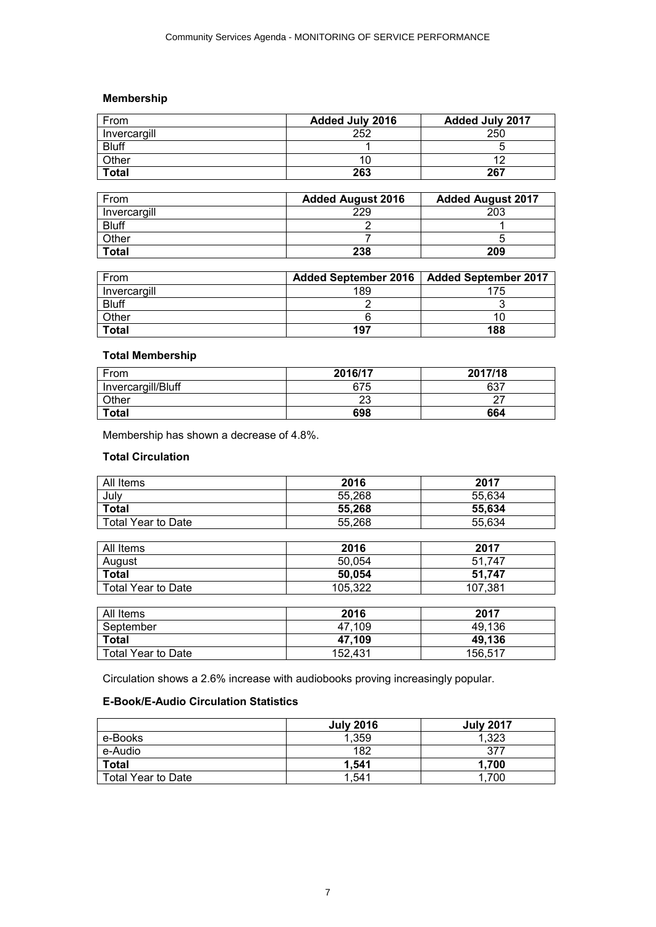# **Membership**

| From         | <b>Added July 2016</b> | <b>Added July 2017</b> |
|--------------|------------------------|------------------------|
| Invercargill | 252                    | 250                    |
| <b>Bluff</b> |                        |                        |
| Other        | Ю                      |                        |
| <b>Total</b> | 263                    | 267                    |

| From         | <b>Added August 2016</b> | <b>Added August 2017</b> |
|--------------|--------------------------|--------------------------|
| Invercargill | 229                      | 203                      |
| <b>Bluff</b> |                          |                          |
| Other        |                          |                          |
| <b>Total</b> | 238                      | 209                      |

| From         | <b>Added September 2016</b> | Added September 2017 |
|--------------|-----------------------------|----------------------|
| Invercargill | 189                         |                      |
| <b>Bluff</b> |                             |                      |
| Other        |                             |                      |
| <b>Total</b> | 197                         | 188                  |

# **Total Membership**

| From               | 2016/17 | 2017/18 |
|--------------------|---------|---------|
| Invercargill/Bluff | 675     | 637     |
| Other              | 23      |         |
| <b>Total</b>       | 698     | 664     |

Membership has shown a decrease of 4.8%.

# **Total Circulation**

| All Items                 | 2016    | 2017    |
|---------------------------|---------|---------|
| July                      | 55,268  | 55,634  |
| <b>Total</b>              | 55,268  | 55,634  |
| <b>Total Year to Date</b> | 55,268  | 55,634  |
|                           |         |         |
| All Items                 | 2016    | 2017    |
| August                    | 50,054  | 51,747  |
| <b>Total</b>              | 50,054  | 51,747  |
| <b>Total Year to Date</b> | 105,322 | 107,381 |

| All Items          | 2016    | 2017    |
|--------------------|---------|---------|
| September          | 47.109  | 49.136  |
| <b>Total</b>       | 47.109  | 49.136  |
| Total Year to Date | 152.431 | 156,517 |

Circulation shows a 2.6% increase with audiobooks proving increasingly popular.

# **E-Book/E-Audio Circulation Statistics**

|                    | <b>July 2016</b> | <b>July 2017</b> |
|--------------------|------------------|------------------|
| e-Books            | 1,359            | 1,323            |
| e-Audio            | 182              | 377              |
| <b>Total</b>       | 1.541            | 1.700            |
| Total Year to Date | 1.541            | .700             |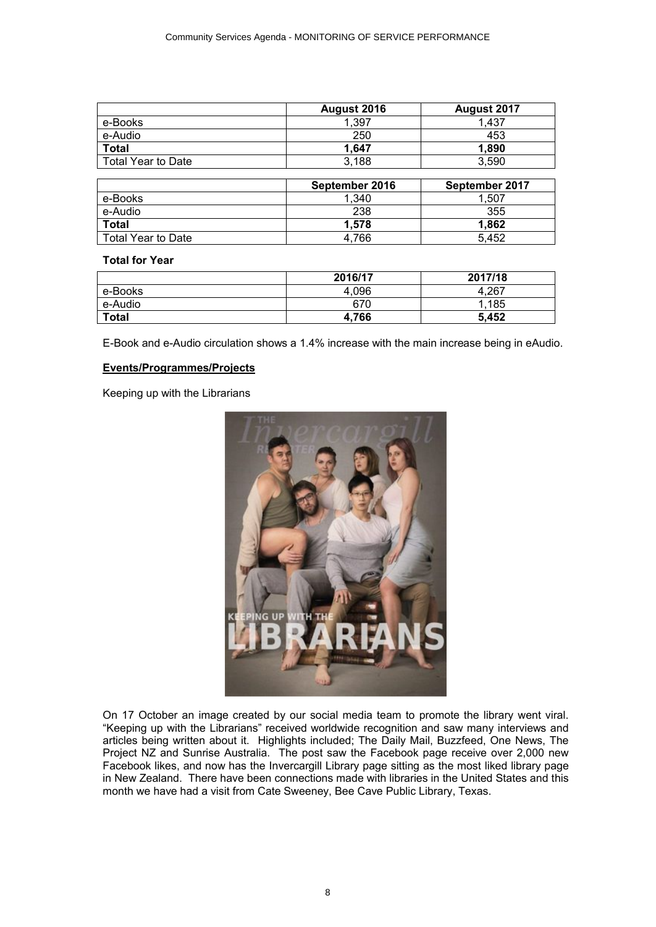|                    | August 2016 | August 2017 |
|--------------------|-------------|-------------|
| e-Books            | 1.397       | 1.437       |
| e-Audio            | 250         | 453         |
| <b>Total</b>       | 1.647       | 1,890       |
| Total Year to Date | 3,188       | 3.590       |

|                    | September 2016 | September 2017 |
|--------------------|----------------|----------------|
| e-Books            | 1.340          | .507           |
| e-Audio            | 238            | 355            |
| <b>Total</b>       | 1.578          | 1.862          |
| Total Year to Date | 4.766          | 5.452          |

#### **Total for Year**

|              | 2016/17 | 2017/18 |
|--------------|---------|---------|
| e-Books      | 4,096   | $+.267$ |
| e-Audio      | 670     | .185    |
| <b>Total</b> | 4,766   | 5,452   |

E-Book and e-Audio circulation shows a 1.4% increase with the main increase being in eAudio.

#### **Events/Programmes/Projects**

Keeping up with the Librarians



On 17 October an image created by our social media team to promote the library went viral. "Keeping up with the Librarians" received worldwide recognition and saw many interviews and articles being written about it. Highlights included; The Daily Mail, Buzzfeed, One News, The Project NZ and Sunrise Australia. The post saw the Facebook page receive over 2,000 new Facebook likes, and now has the Invercargill Library page sitting as the most liked library page in New Zealand. There have been connections made with libraries in the United States and this month we have had a visit from Cate Sweeney, Bee Cave Public Library, Texas.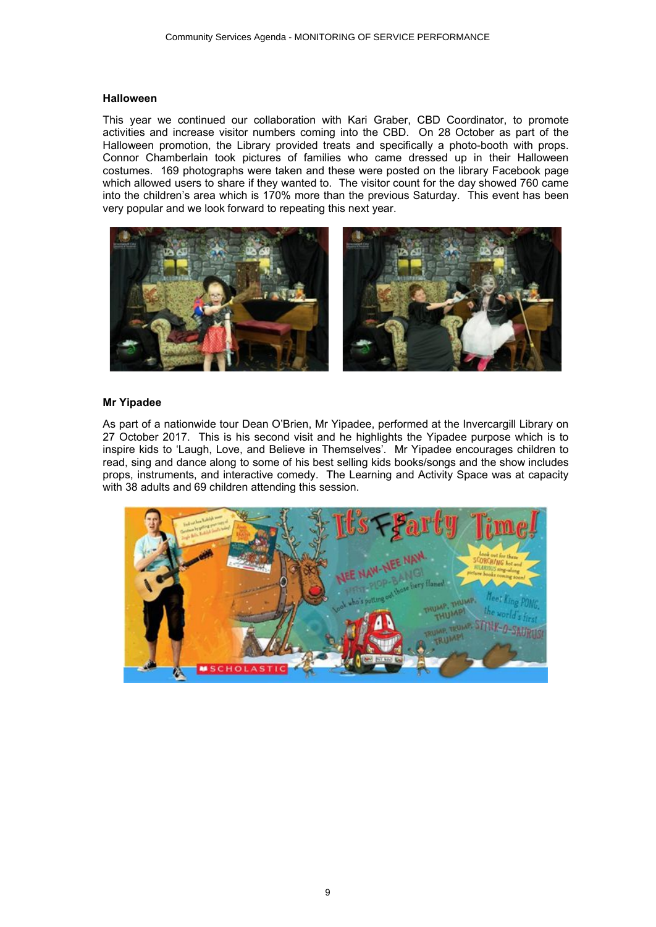#### **Halloween**

This year we continued our collaboration with Kari Graber, CBD Coordinator, to promote activities and increase visitor numbers coming into the CBD. On 28 October as part of the Halloween promotion, the Library provided treats and specifically a photo-booth with props. Connor Chamberlain took pictures of families who came dressed up in their Halloween costumes. 169 photographs were taken and these were posted on the library Facebook page which allowed users to share if they wanted to. The visitor count for the day showed 760 came into the children's area which is 170% more than the previous Saturday. This event has been very popular and we look forward to repeating this next year.



### **Mr Yipadee**

As part of a nationwide tour Dean O'Brien, Mr Yipadee, performed at the Invercargill Library on 27 October 2017. This is his second visit and he highlights the Yipadee purpose which is to inspire kids to 'Laugh, Love, and Believe in Themselves'. Mr Yipadee encourages children to read, sing and dance along to some of his best selling kids books/songs and the show includes props, instruments, and interactive comedy. The Learning and Activity Space was at capacity with 38 adults and 69 children attending this session.

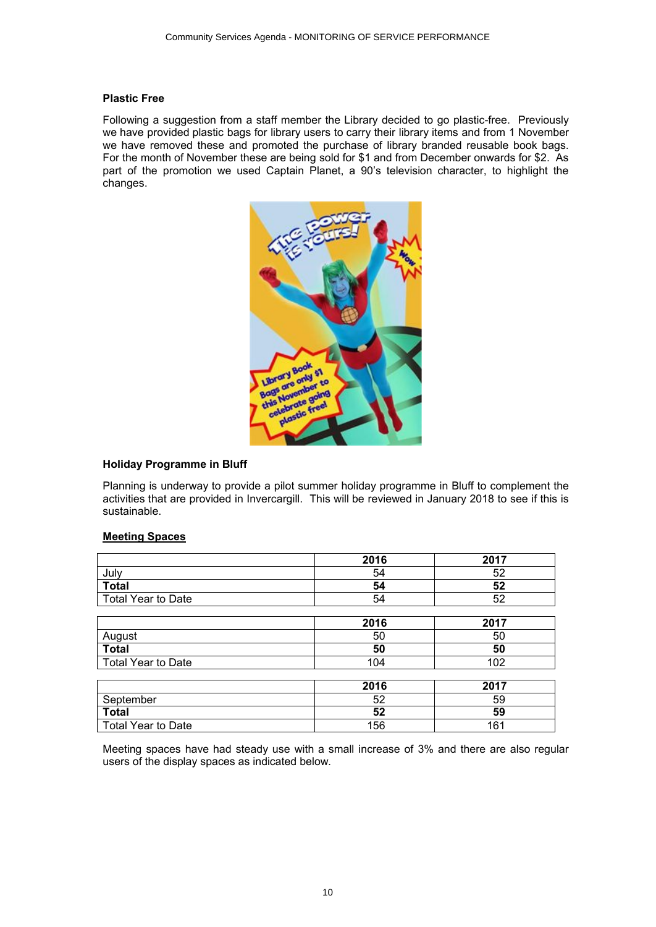#### **Plastic Free**

Following a suggestion from a staff member the Library decided to go plastic-free. Previously we have provided plastic bags for library users to carry their library items and from 1 November we have removed these and promoted the purchase of library branded reusable book bags. For the month of November these are being sold for \$1 and from December onwards for \$2. As part of the promotion we used Captain Planet, a 90's television character, to highlight the changes.



# **Holiday Programme in Bluff**

Planning is underway to provide a pilot summer holiday programme in Bluff to complement the activities that are provided in Invercargill. This will be reviewed in January 2018 to see if this is sustainable.

# **Meeting Spaces**

|                           | 2016 | 2017 |
|---------------------------|------|------|
| July                      | 54   | 52   |
| <b>Total</b>              | 54   | 52   |
| <b>Total Year to Date</b> | 54   | 52   |
|                           |      |      |
|                           | 2016 | 2017 |
| August                    | 50   | 50   |
| <b>Total</b>              | 50   | 50   |
| <b>Total Year to Date</b> | 104  | 102  |
|                           |      |      |
|                           | 2016 | 2017 |
| September                 | 52   | 59   |
| <b>Total</b>              | 52   | 59   |
| <b>Total Year to Date</b> | 156  | 161  |

Meeting spaces have had steady use with a small increase of 3% and there are also regular users of the display spaces as indicated below.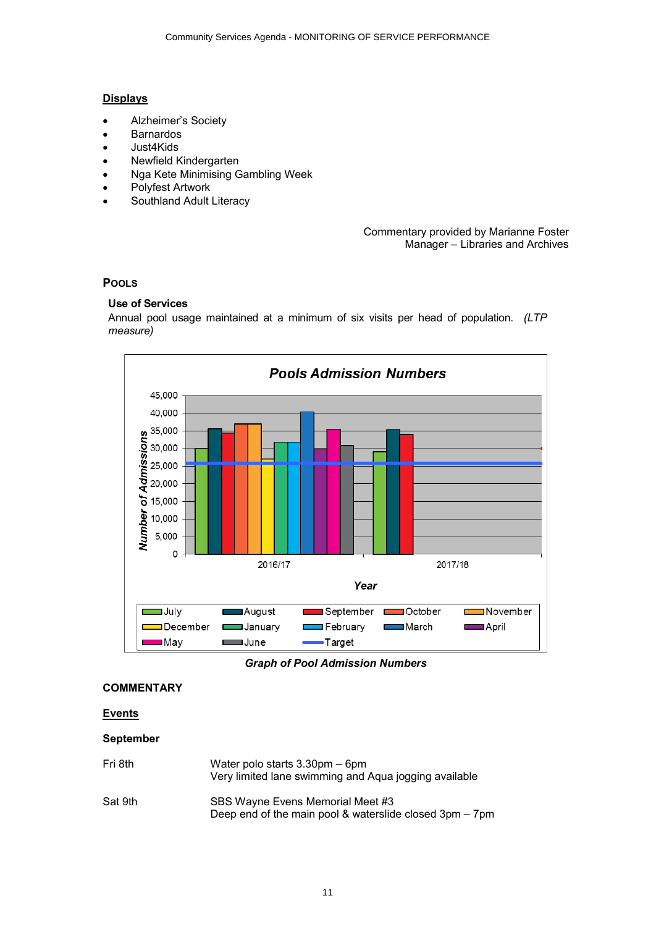# **Displays**

- ∑ Alzheimer's Society
- ∑ Barnardos
- ∑ Just4Kids
- ∑ Newfield Kindergarten
- ∑ Nga Kete Minimising Gambling Week
- ∑ Polyfest Artwork
- ∑ Southland Adult Literacy

#### Commentary provided by Marianne Foster Manager – Libraries and Archives

# **POOLS**

# **Use of Services**

Annual pool usage maintained at a minimum of six visits per head of population. *(LTP measure)*



*Graph of Pool Admission Numbers*

# **COMMENTARY**

# **Events**

# **September**

Fri 8th Water polo starts 3.30pm – 6pm Very limited lane swimming and Aqua jogging available Sat 9th SBS Wayne Evens Memorial Meet #3 Deep end of the main pool & waterslide closed 3pm – 7pm

11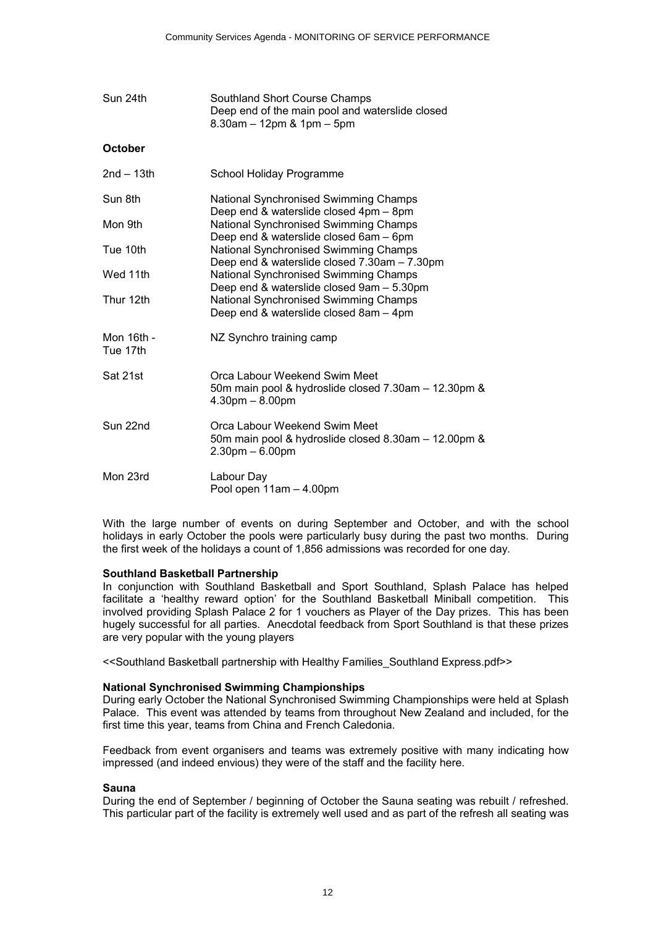| Sun 24th               | Southland Short Course Champs<br>Deep end of the main pool and waterslide closed<br>$8.30$ am $-12$ pm $8.1$ pm $-5$ pm         |
|------------------------|---------------------------------------------------------------------------------------------------------------------------------|
| <b>October</b>         |                                                                                                                                 |
| $2nd - 13th$           | School Holiday Programme                                                                                                        |
| Sun 8th                | National Synchronised Swimming Champs<br>Deep end & waterslide closed 4pm - 8pm                                                 |
| Mon 9th                | National Synchronised Swimming Champs                                                                                           |
| Tue 10th               | Deep end & waterslide closed 6am - 6pm<br>National Synchronised Swimming Champs<br>Deep end & waterslide closed 7.30am - 7.30pm |
| Wed 11th               | National Synchronised Swimming Champs<br>Deep end & waterslide closed 9am - 5.30pm                                              |
| Thur 12th              | National Synchronised Swimming Champs<br>Deep end & waterslide closed 8am - 4pm                                                 |
| Mon 16th -<br>Tue 17th | NZ Synchro training camp                                                                                                        |
| Sat 21st               | Orca Labour Weekend Swim Meet<br>50m main pool & hydroslide closed 7.30am - 12.30pm &<br>$4.30pm - 8.00pm$                      |
| Sun 22nd               | Orca Labour Weekend Swim Meet<br>50m main pool & hydroslide closed 8.30am - 12.00pm &<br>$2.30pm - 6.00pm$                      |
| Mon 23rd               | Labour Day<br>Pool open 11am - 4.00pm                                                                                           |

With the large number of events on during September and October, and with the school holidays in early October the pools were particularly busy during the past two months. During the first week of the holidays a count of 1,856 admissions was recorded for one day.

#### **Southland Basketball Partnership**

In conjunction with Southland Basketball and Sport Southland, Splash Palace has helped facilitate a 'healthy reward option' for the Southland Basketball Miniball competition. This involved providing Splash Palace 2 for 1 vouchers as Player of the Day prizes. This has been hugely successful for all parties. Anecdotal feedback from Sport Southland is that these prizes are very popular with the young players

<<Southland Basketball partnership with Healthy Families\_Southland Express.pdf>>

#### **National Synchronised Swimming Championships**

During early October the National Synchronised Swimming Championships were held at Splash Palace. This event was attended by teams from throughout New Zealand and included, for the first time this year, teams from China and French Caledonia.

Feedback from event organisers and teams was extremely positive with many indicating how impressed (and indeed envious) they were of the staff and the facility here.

### **Sauna**

During the end of September / beginning of October the Sauna seating was rebuilt / refreshed. This particular part of the facility is extremely well used and as part of the refresh all seating was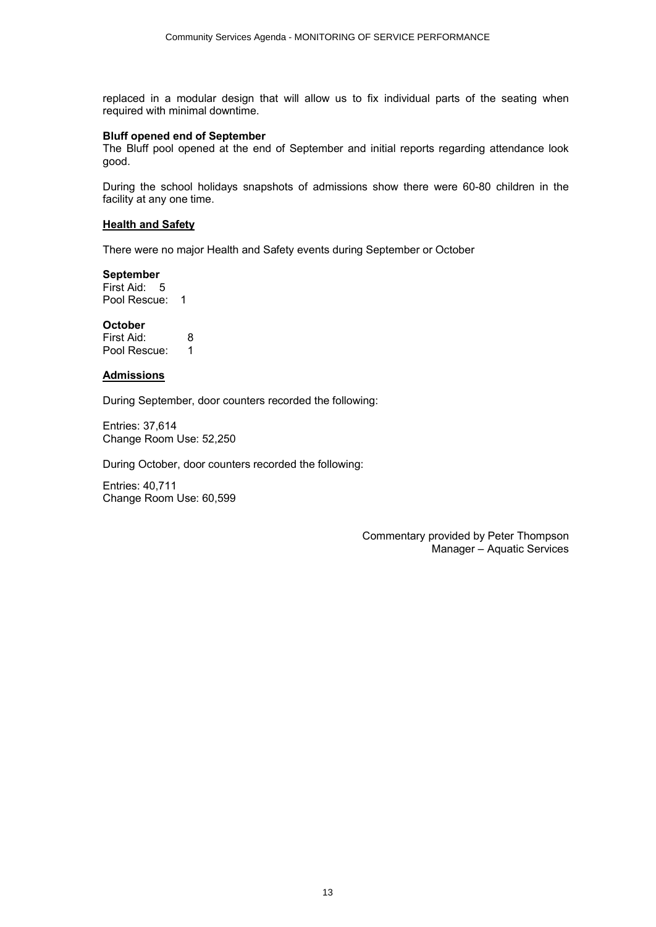replaced in a modular design that will allow us to fix individual parts of the seating when required with minimal downtime.

#### **Bluff opened end of September**

The Bluff pool opened at the end of September and initial reports regarding attendance look good.

During the school holidays snapshots of admissions show there were 60-80 children in the facility at any one time.

#### **Health and Safety**

There were no major Health and Safety events during September or October

#### **September**

First Aid: 5 Pool Rescue: 1

#### **October**

| First Aid:   | 8 |
|--------------|---|
| Pool Rescue: |   |

#### **Admissions**

During September, door counters recorded the following:

Entries: 37,614 Change Room Use: 52,250

During October, door counters recorded the following:

Entries: 40,711 Change Room Use: 60,599

> Commentary provided by Peter Thompson Manager – Aquatic Services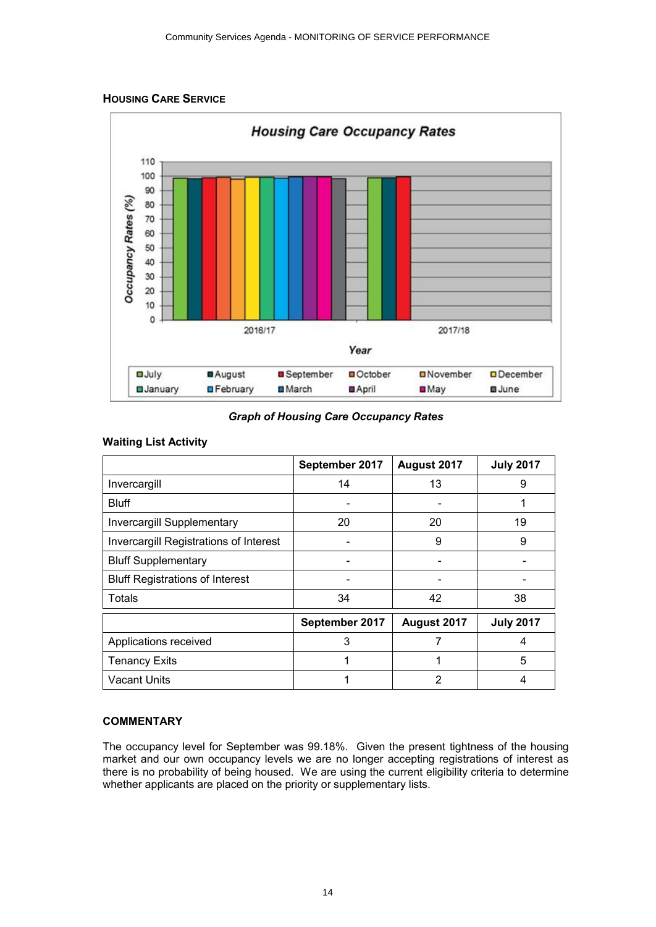



*Graph of Housing Care Occupancy Rates*

# **Waiting List Activity**

|                                        | September 2017 | August 2017 | <b>July 2017</b> |
|----------------------------------------|----------------|-------------|------------------|
| Invercargill                           | 14             | 13          | 9                |
| <b>Bluff</b>                           |                |             | 1                |
| <b>Invercargill Supplementary</b>      | 20             | 20          | 19               |
| Invercargill Registrations of Interest |                | 9           | 9                |
| <b>Bluff Supplementary</b>             |                |             |                  |
| <b>Bluff Registrations of Interest</b> |                |             |                  |
| <b>Totals</b>                          | 34             | 42          | 38               |
|                                        | September 2017 | August 2017 | <b>July 2017</b> |
| Applications received                  | 3              |             | 4                |
| <b>Tenancy Exits</b>                   |                | 1           | 5                |
| <b>Vacant Units</b>                    |                | 2           | 4                |

# **COMMENTARY**

The occupancy level for September was 99.18%. Given the present tightness of the housing market and our own occupancy levels we are no longer accepting registrations of interest as there is no probability of being housed. We are using the current eligibility criteria to determine whether applicants are placed on the priority or supplementary lists.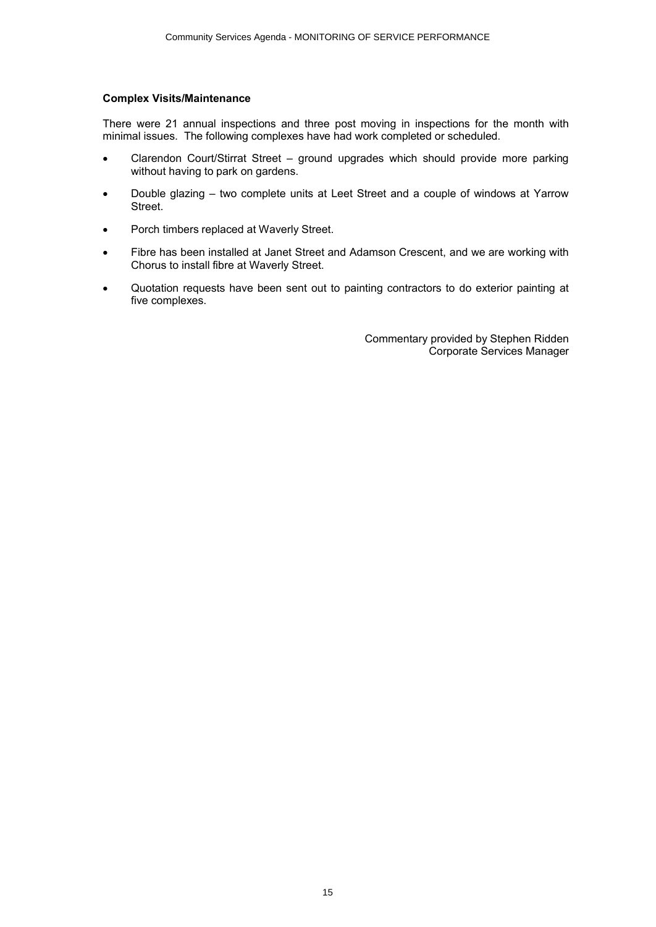## **Complex Visits/Maintenance**

There were 21 annual inspections and three post moving in inspections for the month with minimal issues. The following complexes have had work completed or scheduled.

- Clarendon Court/Stirrat Street ground upgrades which should provide more parking without having to park on gardens.
- ∑ Double glazing two complete units at Leet Street and a couple of windows at Yarrow Street.
- ∑ Porch timbers replaced at Waverly Street.
- Fibre has been installed at Janet Street and Adamson Crescent, and we are working with Chorus to install fibre at Waverly Street.
- ∑ Quotation requests have been sent out to painting contractors to do exterior painting at five complexes.

Commentary provided by Stephen Ridden Corporate Services Manager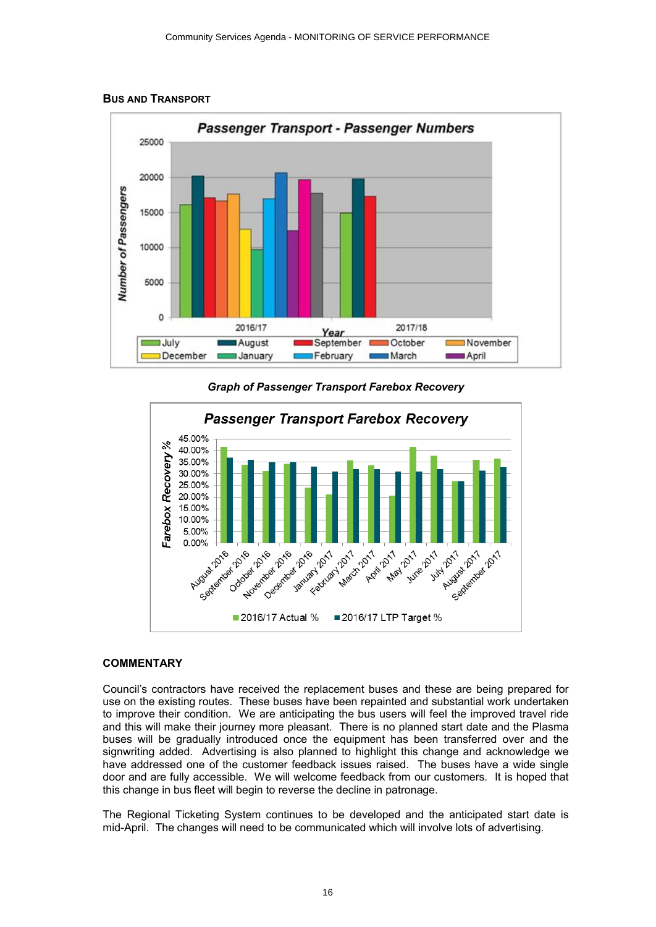

#### **BUS AND TRANSPORT**





#### **COMMENTARY**

Council's contractors have received the replacement buses and these are being prepared for use on the existing routes. These buses have been repainted and substantial work undertaken to improve their condition. We are anticipating the bus users will feel the improved travel ride and this will make their journey more pleasant. There is no planned start date and the Plasma buses will be gradually introduced once the equipment has been transferred over and the signwriting added. Advertising is also planned to highlight this change and acknowledge we have addressed one of the customer feedback issues raised. The buses have a wide single door and are fully accessible. We will welcome feedback from our customers. It is hoped that this change in bus fleet will begin to reverse the decline in patronage.

The Regional Ticketing System continues to be developed and the anticipated start date is mid-April. The changes will need to be communicated which will involve lots of advertising.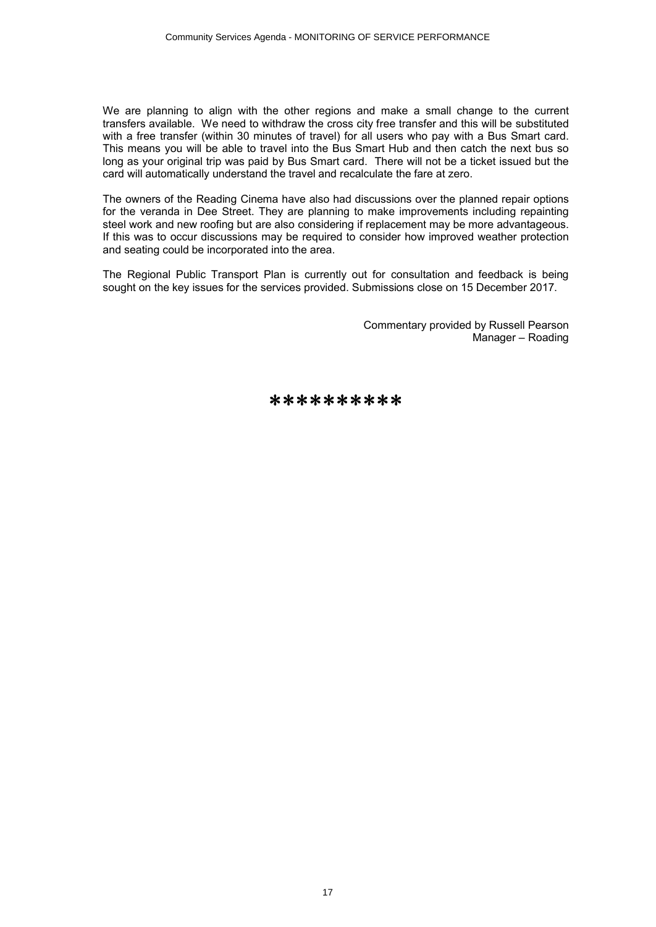We are planning to align with the other regions and make a small change to the current transfers available. We need to withdraw the cross city free transfer and this will be substituted with a free transfer (within 30 minutes of travel) for all users who pay with a Bus Smart card. This means you will be able to travel into the Bus Smart Hub and then catch the next bus so long as your original trip was paid by Bus Smart card. There will not be a ticket issued but the card will automatically understand the travel and recalculate the fare at zero.

The owners of the Reading Cinema have also had discussions over the planned repair options for the veranda in Dee Street. They are planning to make improvements including repainting steel work and new roofing but are also considering if replacement may be more advantageous. If this was to occur discussions may be required to consider how improved weather protection and seating could be incorporated into the area.

The Regional Public Transport Plan is currently out for consultation and feedback is being sought on the key issues for the services provided. Submissions close on 15 December 2017.

> Commentary provided by Russell Pearson Manager – Roading

\*\*\*\*\*\*\*\*\*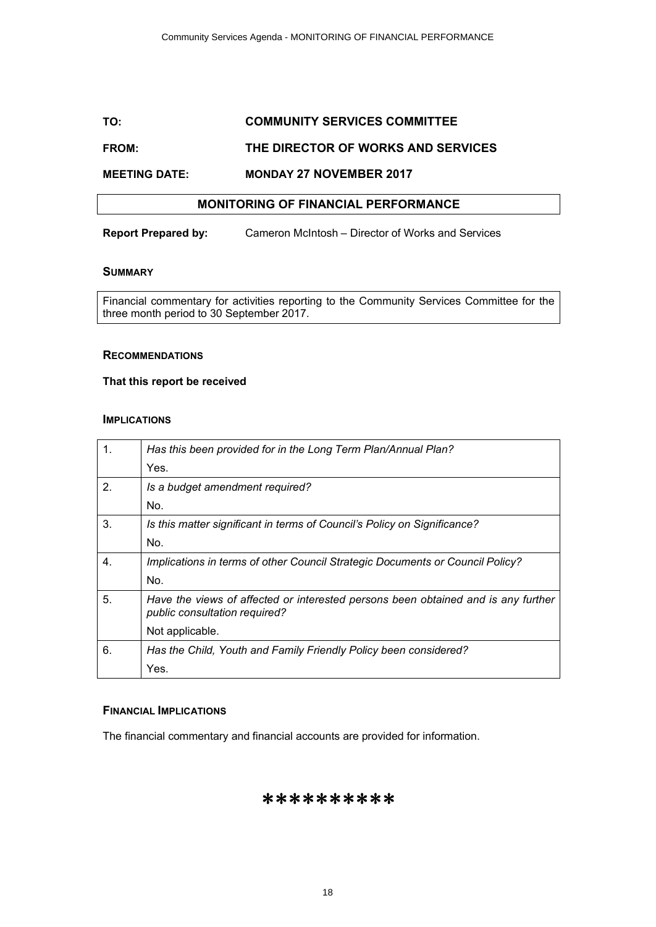# **TO: COMMUNITY SERVICES COMMITTEE**

# **FROM: THE DIRECTOR OF WORKS AND SERVICES**

## **MEETING DATE: MONDAY 27 NOVEMBER 2017**

# **MONITORING OF FINANCIAL PERFORMANCE**

**Report Prepared by:** Cameron McIntosh – Director of Works and Services

#### **SUMMARY**

Financial commentary for activities reporting to the Community Services Committee for the three month period to 30 September 2017.

#### **RECOMMENDATIONS**

#### **That this report be received**

#### **IMPLICATIONS**

| 1. | Has this been provided for in the Long Term Plan/Annual Plan?                                                      |
|----|--------------------------------------------------------------------------------------------------------------------|
|    | Yes.                                                                                                               |
| 2. | Is a budget amendment required?                                                                                    |
|    | No.                                                                                                                |
| 3. | Is this matter significant in terms of Council's Policy on Significance?                                           |
|    | No.                                                                                                                |
| 4. | Implications in terms of other Council Strategic Documents or Council Policy?                                      |
|    | No.                                                                                                                |
| 5. | Have the views of affected or interested persons been obtained and is any further<br>public consultation required? |
|    | Not applicable.                                                                                                    |
| 6. | Has the Child, Youth and Family Friendly Policy been considered?                                                   |
|    | Yes.                                                                                                               |

#### **FINANCIAL IMPLICATIONS**

The financial commentary and financial accounts are provided for information.

# \*\*\*\*\*\*\*\*\*\*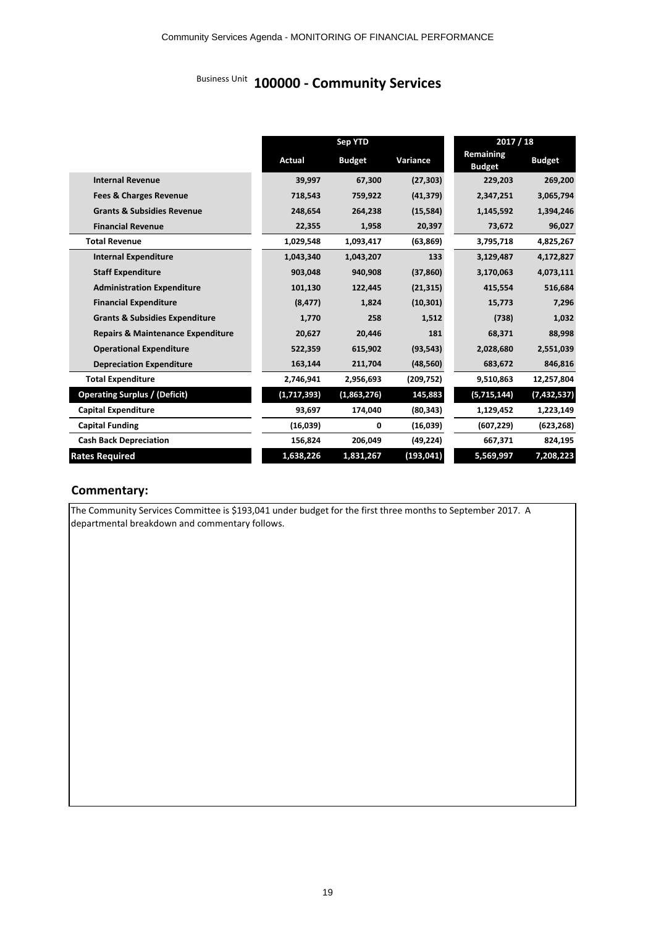# Community Services Agenda - MONITORING OF FINANCIAL PERFORMANCE<br>Business Unit 100000 - Community Services

|                                              |             | <b>Sep YTD</b> |            |                            | 2017 / 18     |
|----------------------------------------------|-------------|----------------|------------|----------------------------|---------------|
|                                              | Actual      | <b>Budget</b>  | Variance   | Remaining<br><b>Budget</b> | <b>Budget</b> |
| <b>Internal Revenue</b>                      | 39,997      | 67,300         | (27, 303)  | 229,203                    | 269,200       |
| <b>Fees &amp; Charges Revenue</b>            | 718,543     | 759,922        | (41, 379)  | 2,347,251                  | 3,065,794     |
| <b>Grants &amp; Subsidies Revenue</b>        | 248,654     | 264,238        | (15, 584)  | 1,145,592                  | 1,394,246     |
| <b>Financial Revenue</b>                     | 22,355      | 1,958          | 20,397     | 73,672                     | 96,027        |
| <b>Total Revenue</b>                         | 1,029,548   | 1,093,417      | (63, 869)  | 3,795,718                  | 4,825,267     |
| <b>Internal Expenditure</b>                  | 1,043,340   | 1,043,207      | 133        | 3,129,487                  | 4,172,827     |
| <b>Staff Expenditure</b>                     | 903,048     | 940,908        | (37, 860)  | 3,170,063                  | 4,073,111     |
| <b>Administration Expenditure</b>            | 101,130     | 122,445        | (21, 315)  | 415,554                    | 516,684       |
| <b>Financial Expenditure</b>                 | (8, 477)    | 1,824          | (10, 301)  | 15,773                     | 7,296         |
| <b>Grants &amp; Subsidies Expenditure</b>    | 1,770       | 258            | 1,512      | (738)                      | 1,032         |
| <b>Repairs &amp; Maintenance Expenditure</b> | 20,627      | 20,446         | 181        | 68,371                     | 88,998        |
| <b>Operational Expenditure</b>               | 522,359     | 615,902        | (93, 543)  | 2,028,680                  | 2,551,039     |
| <b>Depreciation Expenditure</b>              | 163,144     | 211,704        | (48, 560)  | 683,672                    | 846,816       |
| <b>Total Expenditure</b>                     | 2,746,941   | 2,956,693      | (209, 752) | 9,510,863                  | 12,257,804    |
| <b>Operating Surplus / (Deficit)</b>         | (1,717,393) | (1,863,276)    | 145,883    | (5,715,144)                | (7, 432, 537) |
| <b>Capital Expenditure</b>                   | 93,697      | 174,040        | (80, 343)  | 1,129,452                  | 1,223,149     |
| <b>Capital Funding</b>                       | (16,039)    | 0              | (16,039)   | (607, 229)                 | (623, 268)    |
| <b>Cash Back Depreciation</b>                | 156,824     | 206,049        | (49, 224)  | 667,371                    | 824,195       |
| <b>Rates Required</b>                        | 1,638,226   | 1,831,267      | (193, 041) | 5,569,997                  | 7,208,223     |

# **Commentary:**

The Community Services Committee is \$193,041 under budget for the first three months to September 2017. A departmental breakdown and commentary follows.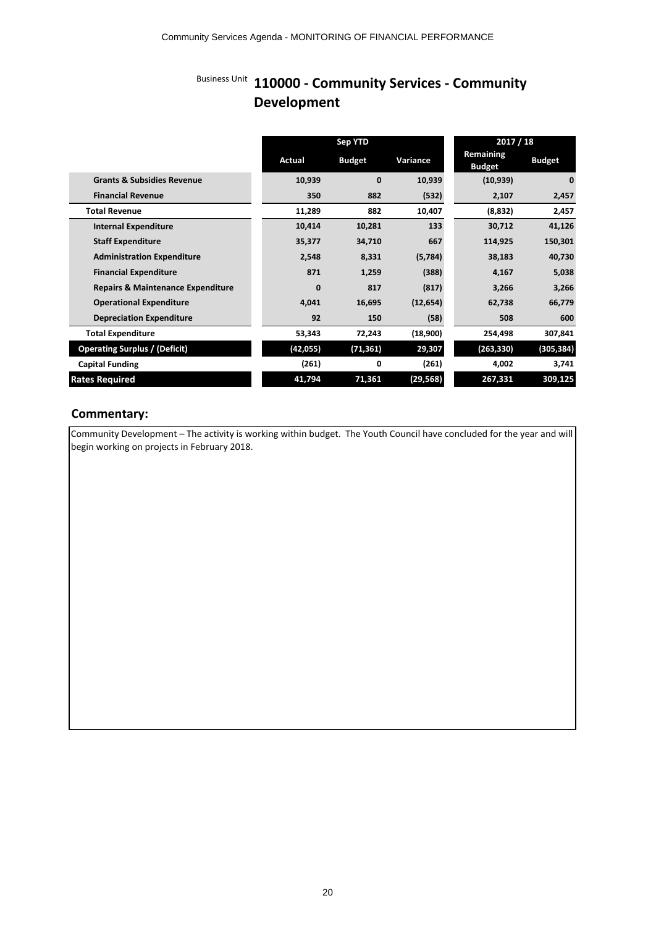# Business Unit **110000 - Community Services - Community Development**

|                                              |             | Sep YTD       |           |                            | 2017 / 18     |
|----------------------------------------------|-------------|---------------|-----------|----------------------------|---------------|
|                                              | Actual      | <b>Budget</b> | Variance  | Remaining<br><b>Budget</b> | <b>Budget</b> |
| <b>Grants &amp; Subsidies Revenue</b>        | 10,939      | $\mathbf{0}$  | 10,939    | (10, 939)                  | $\mathbf{0}$  |
| <b>Financial Revenue</b>                     | 350         | 882           | (532)     | 2,107                      | 2,457         |
| <b>Total Revenue</b>                         | 11,289      | 882           | 10,407    | (8,832)                    | 2,457         |
| <b>Internal Expenditure</b>                  | 10,414      | 10,281        | 133       | 30,712                     | 41,126        |
| <b>Staff Expenditure</b>                     | 35,377      | 34,710        | 667       | 114,925                    | 150,301       |
| <b>Administration Expenditure</b>            | 2,548       | 8,331         | (5,784)   | 38,183                     | 40,730        |
| <b>Financial Expenditure</b>                 | 871         | 1,259         | (388)     | 4,167                      | 5,038         |
| <b>Repairs &amp; Maintenance Expenditure</b> | $\mathbf 0$ | 817           | (817)     | 3,266                      | 3,266         |
| <b>Operational Expenditure</b>               | 4,041       | 16,695        | (12, 654) | 62,738                     | 66,779        |
| <b>Depreciation Expenditure</b>              | 92          | 150           | (58)      | 508                        | 600           |
| <b>Total Expenditure</b>                     | 53,343      | 72,243        | (18,900)  | 254,498                    | 307,841       |
| <b>Operating Surplus / (Deficit)</b>         | (42, 055)   | (71, 361)     | 29,307    | (263, 330)                 | (305, 384)    |
| <b>Capital Funding</b>                       | (261)       | 0             | (261)     | 4,002                      | 3,741         |
| <b>Rates Required</b>                        | 41,794      | 71,361        | (29, 568) | 267,331                    | 309,125       |

# **Commentary:**

Community Development – The activity is working within budget. The Youth Council have concluded for the year and will begin working on projects in February 2018.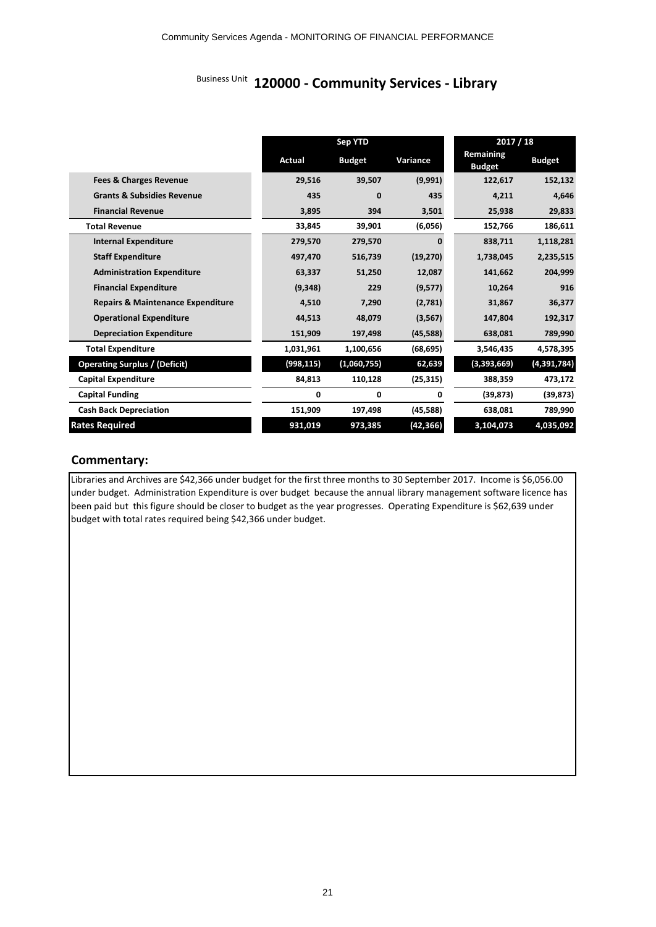Community Services Agenda - MONITORING OF FINANCIAL PERFORMANCE<br>Business Unit **120000 - Community Services - Library** 

|                                              |            | Sep YTD       |           |                            | 2017 / 18     |
|----------------------------------------------|------------|---------------|-----------|----------------------------|---------------|
|                                              | Actual     | <b>Budget</b> | Variance  | Remaining<br><b>Budget</b> | <b>Budget</b> |
| <b>Fees &amp; Charges Revenue</b>            | 29,516     | 39,507        | (9,991)   | 122,617                    | 152,132       |
| <b>Grants &amp; Subsidies Revenue</b>        | 435        | 0             | 435       | 4,211                      | 4,646         |
| <b>Financial Revenue</b>                     | 3,895      | 394           | 3,501     | 25,938                     | 29,833        |
| <b>Total Revenue</b>                         | 33,845     | 39,901        | (6,056)   | 152,766                    | 186,611       |
| <b>Internal Expenditure</b>                  | 279,570    | 279,570       | $\Omega$  | 838,711                    | 1,118,281     |
| <b>Staff Expenditure</b>                     | 497,470    | 516,739       | (19, 270) | 1,738,045                  | 2,235,515     |
| <b>Administration Expenditure</b>            | 63,337     | 51,250        | 12,087    | 141,662                    | 204,999       |
| <b>Financial Expenditure</b>                 | (9, 348)   | 229           | (9,577)   | 10,264                     | 916           |
| <b>Repairs &amp; Maintenance Expenditure</b> | 4,510      | 7,290         | (2,781)   | 31,867                     | 36,377        |
| <b>Operational Expenditure</b>               | 44,513     | 48,079        | (3, 567)  | 147,804                    | 192,317       |
| <b>Depreciation Expenditure</b>              | 151,909    | 197,498       | (45, 588) | 638,081                    | 789,990       |
| <b>Total Expenditure</b>                     | 1,031,961  | 1,100,656     | (68, 695) | 3,546,435                  | 4,578,395     |
| <b>Operating Surplus / (Deficit)</b>         | (998, 115) | (1,060,755)   | 62,639    | (3,393,669)                | (4,391,784)   |
| <b>Capital Expenditure</b>                   | 84,813     | 110,128       | (25, 315) | 388,359                    | 473,172       |
| <b>Capital Funding</b>                       | 0          | 0             | 0         | (39, 873)                  | (39, 873)     |
| <b>Cash Back Depreciation</b>                | 151,909    | 197,498       | (45, 588) | 638,081                    | 789,990       |
| <b>Rates Required</b>                        | 931,019    | 973,385       | (42, 366) | 3,104,073                  | 4,035,092     |

# **Commentary:**

Libraries and Archives are \$42,366 under budget for the first three months to 30 September 2017. Income is \$6,056.00 under budget. Administration Expenditure is over budget because the annual library management software licence has been paid but this figure should be closer to budget as the year progresses. Operating Expenditure is \$62,639 under budget with total rates required being \$42,366 under budget.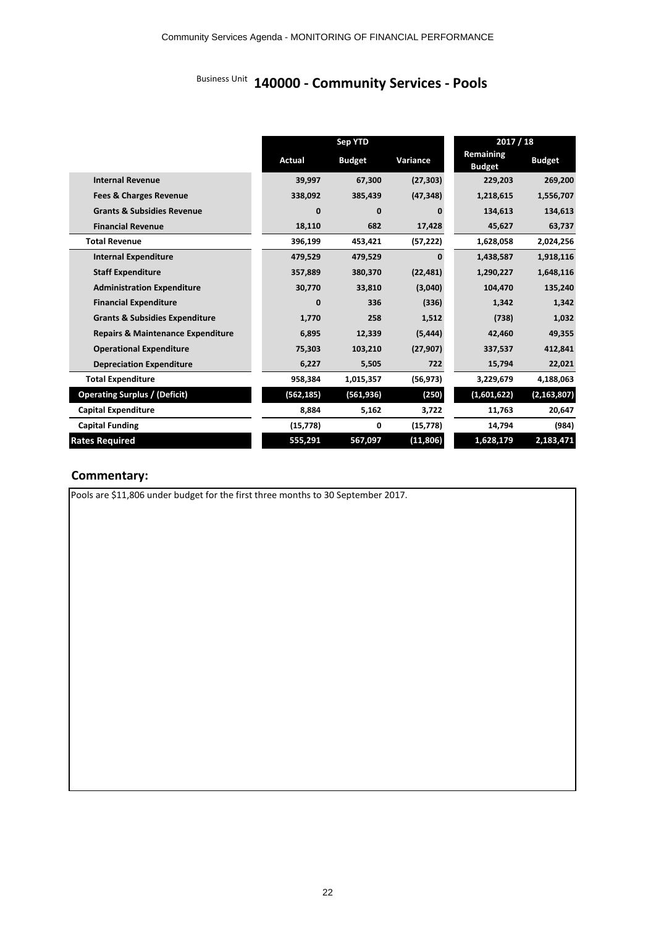Community Services Agenda - MONITORING OF FINANCIAL PERFORMANCE<br>Business Unit 140000 - Community Services - Pools

|                                              |            | <b>Sep YTD</b> |           |                            | 2017 / 18     |
|----------------------------------------------|------------|----------------|-----------|----------------------------|---------------|
|                                              | Actual     | <b>Budget</b>  | Variance  | Remaining<br><b>Budget</b> | <b>Budget</b> |
| <b>Internal Revenue</b>                      | 39,997     | 67,300         | (27, 303) | 229,203                    | 269,200       |
| <b>Fees &amp; Charges Revenue</b>            | 338,092    | 385,439        | (47, 348) | 1,218,615                  | 1,556,707     |
| <b>Grants &amp; Subsidies Revenue</b>        | 0          | 0              | 0         | 134,613                    | 134,613       |
| <b>Financial Revenue</b>                     | 18,110     | 682            | 17,428    | 45,627                     | 63,737        |
| <b>Total Revenue</b>                         | 396,199    | 453,421        | (57, 222) | 1,628,058                  | 2,024,256     |
| <b>Internal Expenditure</b>                  | 479,529    | 479,529        | $\Omega$  | 1,438,587                  | 1,918,116     |
| <b>Staff Expenditure</b>                     | 357,889    | 380,370        | (22, 481) | 1,290,227                  | 1,648,116     |
| <b>Administration Expenditure</b>            | 30,770     | 33,810         | (3,040)   | 104,470                    | 135,240       |
| <b>Financial Expenditure</b>                 | 0          | 336            | (336)     | 1,342                      | 1,342         |
| <b>Grants &amp; Subsidies Expenditure</b>    | 1,770      | 258            | 1,512     | (738)                      | 1,032         |
| <b>Repairs &amp; Maintenance Expenditure</b> | 6,895      | 12,339         | (5, 444)  | 42,460                     | 49,355        |
| <b>Operational Expenditure</b>               | 75,303     | 103,210        | (27, 907) | 337,537                    | 412,841       |
| <b>Depreciation Expenditure</b>              | 6,227      | 5,505          | 722       | 15,794                     | 22,021        |
| <b>Total Expenditure</b>                     | 958,384    | 1,015,357      | (56, 973) | 3,229,679                  | 4,188,063     |
| <b>Operating Surplus / (Deficit)</b>         | (562, 185) | (561, 936)     | (250)     | (1,601,622)                | (2, 163, 807) |
| <b>Capital Expenditure</b>                   | 8,884      | 5,162          | 3,722     | 11,763                     | 20,647        |
| <b>Capital Funding</b>                       | (15, 778)  | 0              | (15, 778) | 14,794                     | (984)         |
| <b>Rates Required</b>                        | 555,291    | 567,097        | (11, 806) | 1,628,179                  | 2,183,471     |

# **Commentary:**

Pools are \$11,806 under budget for the first three months to 30 September 2017.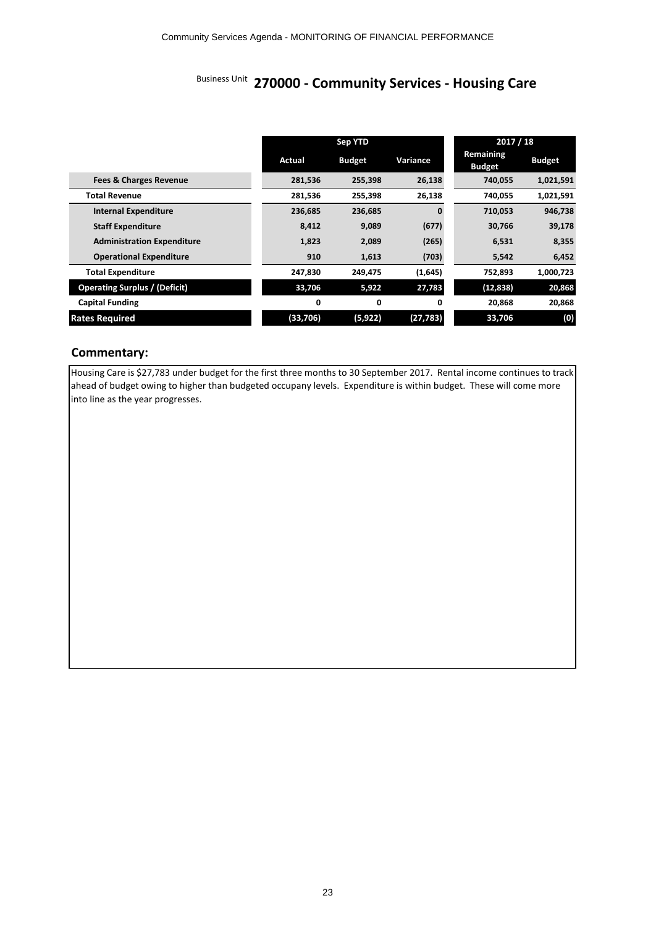# Community Services Agenda - MONITORING OF FINANCIAL PERFORMANCE<br>Business Unit **270000 - Community Services - Housing Care**

|                                      | Sep YTD  |               | 2017 / 18    |                            |               |
|--------------------------------------|----------|---------------|--------------|----------------------------|---------------|
|                                      | Actual   | <b>Budget</b> | Variance     | Remaining<br><b>Budget</b> | <b>Budget</b> |
| <b>Fees &amp; Charges Revenue</b>    | 281,536  | 255,398       | 26,138       | 740,055                    | 1,021,591     |
| <b>Total Revenue</b>                 | 281,536  | 255,398       | 26,138       | 740,055                    | 1,021,591     |
| <b>Internal Expenditure</b>          | 236,685  | 236,685       | $\mathbf{0}$ | 710,053                    | 946,738       |
| <b>Staff Expenditure</b>             | 8,412    | 9,089         | (677)        | 30,766                     | 39,178        |
| <b>Administration Expenditure</b>    | 1,823    | 2,089         | (265)        | 6,531                      | 8,355         |
| <b>Operational Expenditure</b>       | 910      | 1,613         | (703)        | 5,542                      | 6,452         |
| <b>Total Expenditure</b>             | 247,830  | 249,475       | (1,645)      | 752,893                    | 1,000,723     |
| <b>Operating Surplus / (Deficit)</b> | 33,706   | 5,922         | 27,783       | (12, 838)                  | 20,868        |
| <b>Capital Funding</b>               | 0        | 0             | 0            | 20,868                     | 20,868        |
| <b>Rates Required</b>                | (33,706) | (5, 922)      | (27, 783)    | 33,706                     | (0)           |

# **Commentary:**

Housing Care is \$27,783 under budget for the first three months to 30 September 2017. Rental income continues to track ahead of budget owing to higher than budgeted occupany levels. Expenditure is within budget. These will come more into line as the year progresses.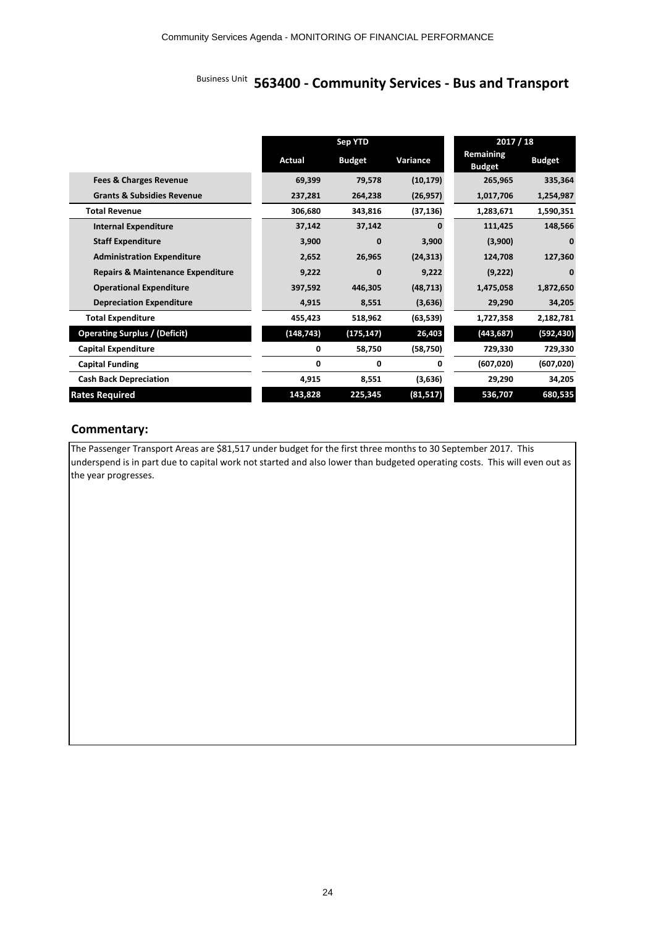# Community Services Agenda - MONITORING OF FINANCIAL PERFORMANCE<br>Business Unit **563400 - Community Services - Bus and Transport**

|                                              | <b>Sep YTD</b> |               | 2017 / 18 |                            |               |
|----------------------------------------------|----------------|---------------|-----------|----------------------------|---------------|
|                                              | Actual         | <b>Budget</b> | Variance  | Remaining<br><b>Budget</b> | <b>Budget</b> |
| <b>Fees &amp; Charges Revenue</b>            | 69,399         | 79,578        | (10, 179) | 265,965                    | 335,364       |
| <b>Grants &amp; Subsidies Revenue</b>        | 237,281        | 264,238       | (26, 957) | 1,017,706                  | 1,254,987     |
| <b>Total Revenue</b>                         | 306,680        | 343,816       | (37, 136) | 1,283,671                  | 1,590,351     |
| <b>Internal Expenditure</b>                  | 37,142         | 37,142        | ŋ         | 111,425                    | 148,566       |
| <b>Staff Expenditure</b>                     | 3,900          | $\mathbf{0}$  | 3,900     | (3,900)                    | 0             |
| <b>Administration Expenditure</b>            | 2,652          | 26,965        | (24, 313) | 124,708                    | 127,360       |
| <b>Repairs &amp; Maintenance Expenditure</b> | 9,222          | $\mathbf{0}$  | 9,222     | (9,222)                    | $\bf{0}$      |
| <b>Operational Expenditure</b>               | 397,592        | 446,305       | (48, 713) | 1,475,058                  | 1,872,650     |
| <b>Depreciation Expenditure</b>              | 4,915          | 8,551         | (3,636)   | 29,290                     | 34,205        |
| <b>Total Expenditure</b>                     | 455,423        | 518,962       | (63, 539) | 1,727,358                  | 2,182,781     |
| <b>Operating Surplus / (Deficit)</b>         | (148, 743)     | (175, 147)    | 26,403    | (443, 687)                 | (592, 430)    |
| <b>Capital Expenditure</b>                   | 0              | 58,750        | (58, 750) | 729,330                    | 729,330       |
| <b>Capital Funding</b>                       | 0              | 0             | 0         | (607, 020)                 | (607, 020)    |
| <b>Cash Back Depreciation</b>                | 4,915          | 8,551         | (3,636)   | 29,290                     | 34,205        |
| <b>Rates Required</b>                        | 143,828        | 225,345       | (81, 517) | 536,707                    | 680,535       |

# **Commentary:**

The Passenger Transport Areas are \$81,517 under budget for the first three months to 30 September 2017. This underspend is in part due to capital work not started and also lower than budgeted operating costs. This will even out as the year progresses.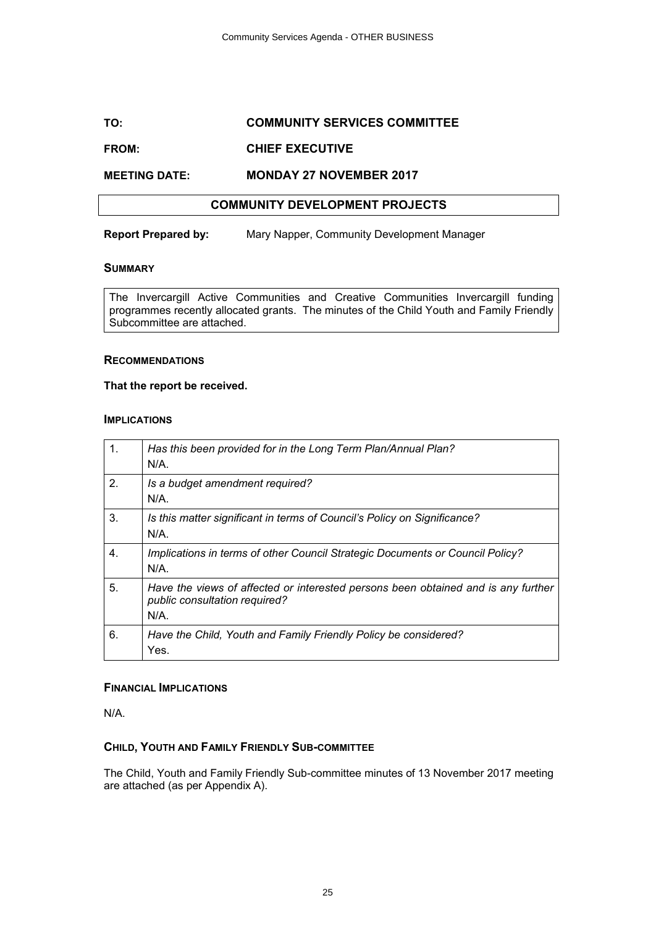# **TO: COMMUNITY SERVICES COMMITTEE**

# **FROM: CHIEF EXECUTIVE**

# **MEETING DATE: MONDAY 27 NOVEMBER 2017**

# **COMMUNITY DEVELOPMENT PROJECTS**

**Report Prepared by:** Mary Napper, Community Development Manager

#### **SUMMARY**

The Invercargill Active Communities and Creative Communities Invercargill funding programmes recently allocated grants. The minutes of the Child Youth and Family Friendly Subcommittee are attached.

#### **RECOMMENDATIONS**

#### **That the report be received.**

#### **IMPLICATIONS**

| 1. | Has this been provided for in the Long Term Plan/Annual Plan?<br>$N/A$ .                                                  |
|----|---------------------------------------------------------------------------------------------------------------------------|
| 2. | Is a budget amendment required?<br>$N/A$ .                                                                                |
| 3. | Is this matter significant in terms of Council's Policy on Significance?<br>$N/A$ .                                       |
| 4. | Implications in terms of other Council Strategic Documents or Council Policy?<br>N/A.                                     |
| 5. | Have the views of affected or interested persons been obtained and is any further<br>public consultation required?<br>N/A |
| 6. | Have the Child, Youth and Family Friendly Policy be considered?<br>Yes.                                                   |

#### **FINANCIAL IMPLICATIONS**

N/A.

#### **CHILD, YOUTH AND FAMILY FRIENDLY SUB-COMMITTEE**

The Child, Youth and Family Friendly Sub-committee minutes of 13 November 2017 meeting are attached (as per Appendix A).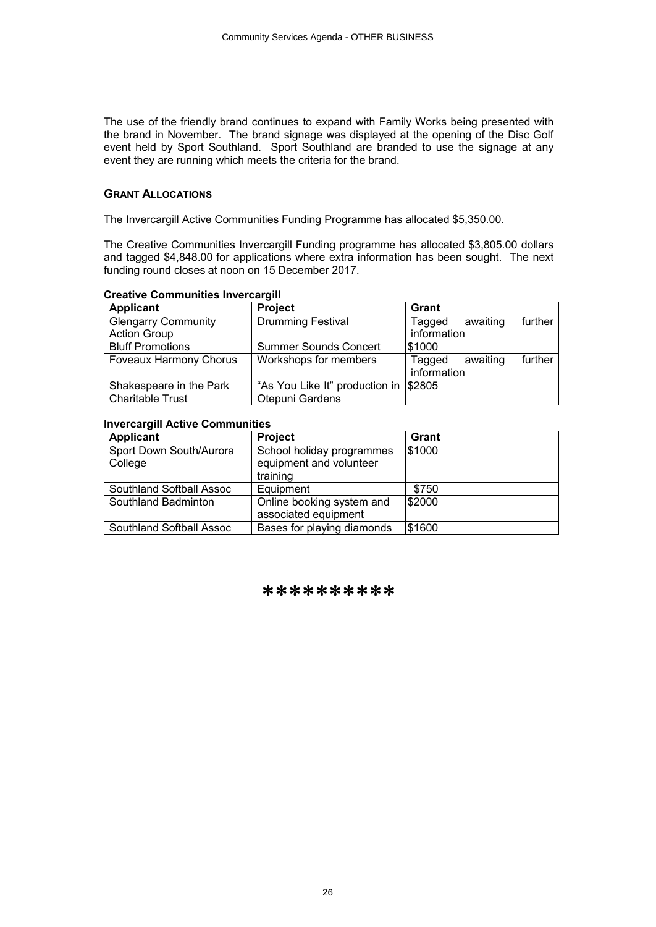The use of the friendly brand continues to expand with Family Works being presented with the brand in November. The brand signage was displayed at the opening of the Disc Golf event held by Sport Southland. Sport Southland are branded to use the signage at any event they are running which meets the criteria for the brand.

#### **GRANT ALLOCATIONS**

The Invercargill Active Communities Funding Programme has allocated \$5,350.00.

The Creative Communities Invercargill Funding programme has allocated \$3,805.00 dollars and tagged \$4,848.00 for applications where extra information has been sought. The next funding round closes at noon on 15 December 2017.

### **Creative Communities Invercargill**

| <b>Applicant</b>              | <b>Project</b>                        | Grant                         |
|-------------------------------|---------------------------------------|-------------------------------|
| <b>Glengarry Community</b>    | <b>Drumming Festival</b>              | further<br>awaiting<br>Tagged |
| <b>Action Group</b>           |                                       | information                   |
| <b>Bluff Promotions</b>       | <b>Summer Sounds Concert</b>          | 51000                         |
| <b>Foveaux Harmony Chorus</b> | Workshops for members                 | further<br>awaiting<br>Tagged |
|                               |                                       | information                   |
| Shakespeare in the Park       | "As You Like It" production in \$2805 |                               |
| Charitable Trust              | Otepuni Gardens                       |                               |

#### **Invercargill Active Communities**

| <b>Applicant</b>                   | <b>Project</b>                                                   | Grant  |
|------------------------------------|------------------------------------------------------------------|--------|
| Sport Down South/Aurora<br>College | School holiday programmes<br>equipment and volunteer<br>training | \$1000 |
| Southland Softball Assoc           | Equipment                                                        | \$750  |
| Southland Badminton                | Online booking system and<br>associated equipment                | \$2000 |
| <b>Southland Softball Assoc</b>    | Bases for playing diamonds                                       | \$1600 |

# \*\*\*\*\*\*\*\*\*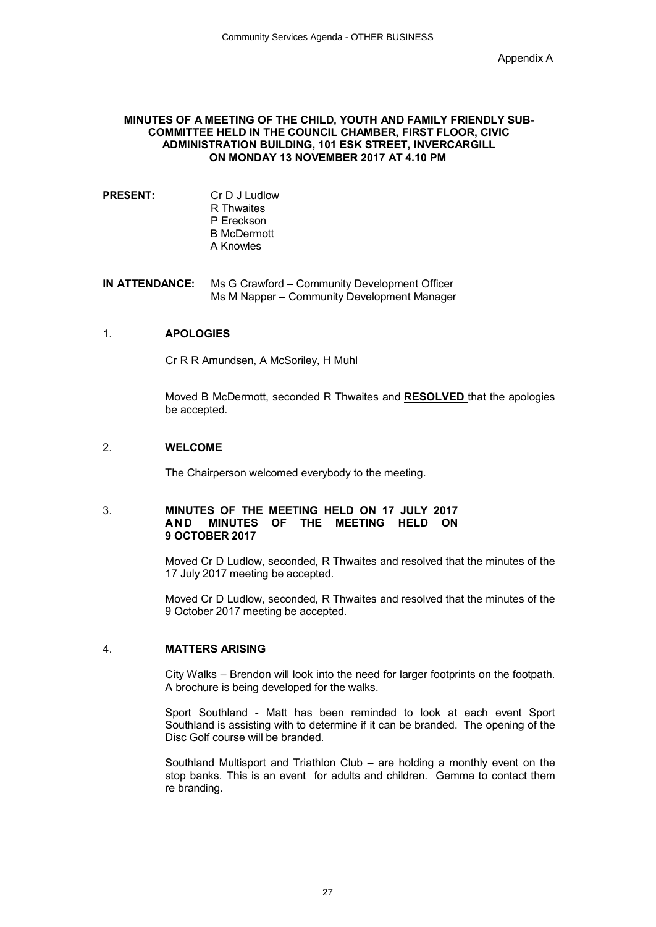#### **MINUTES OF A MEETING OF THE CHILD, YOUTH AND FAMILY FRIENDLY SUB-COMMITTEE HELD IN THE COUNCIL CHAMBER, FIRST FLOOR, CIVIC ADMINISTRATION BUILDING, 101 ESK STREET, INVERCARGILL ON MONDAY 13 NOVEMBER 2017 AT 4.10 PM**

**PRESENT:** Cr D J Ludlow R Thwaites P Ereckson B McDermott A Knowles

**IN ATTENDANCE:** Ms G Crawford – Community Development Officer Ms M Napper – Community Development Manager

#### 1. **APOLOGIES**

Cr R R Amundsen, A McSoriley, H Muhl

Moved B McDermott, seconded R Thwaites and **RESOLVED** that the apologies be accepted.

#### 2. **WELCOME**

The Chairperson welcomed everybody to the meeting.

#### 3. **MINUTES OF THE MEETING HELD ON 17 JULY 2017 AN D MINUTES OF THE MEETING HELD ON 9 OCTOBER 2017**

Moved Cr D Ludlow, seconded, R Thwaites and resolved that the minutes of the 17 July 2017 meeting be accepted.

Moved Cr D Ludlow, seconded, R Thwaites and resolved that the minutes of the 9 October 2017 meeting be accepted.

#### 4. **MATTERS ARISING**

City Walks – Brendon will look into the need for larger footprints on the footpath. A brochure is being developed for the walks.

Sport Southland - Matt has been reminded to look at each event Sport Southland is assisting with to determine if it can be branded. The opening of the Disc Golf course will be branded.

Southland Multisport and Triathlon Club – are holding a monthly event on the stop banks. This is an event for adults and children. Gemma to contact them re branding.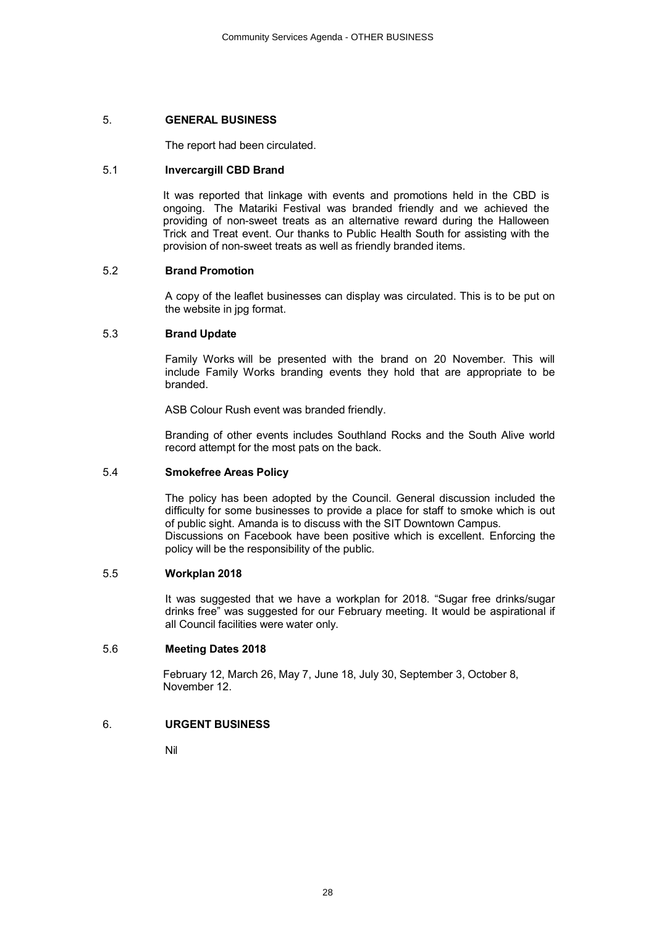## 5. **GENERAL BUSINESS**

The report had been circulated.

## 5.1 **Invercargill CBD Brand**

It was reported that linkage with events and promotions held in the CBD is ongoing. The Matariki Festival was branded friendly and we achieved the providing of non-sweet treats as an alternative reward during the Halloween Trick and Treat event. Our thanks to Public Health South for assisting with the provision of non-sweet treats as well as friendly branded items.

### 5.2 **Brand Promotion**

A copy of the leaflet businesses can display was circulated. This is to be put on the website in jpg format.

## 5.3 **Brand Update**

Family Works will be presented with the brand on 20 November. This will include Family Works branding events they hold that are appropriate to be branded.

ASB Colour Rush event was branded friendly.

Branding of other events includes Southland Rocks and the South Alive world record attempt for the most pats on the back.

# 5.4 **Smokefree Areas Policy**

The policy has been adopted by the Council. General discussion included the difficulty for some businesses to provide a place for staff to smoke which is out of public sight. Amanda is to discuss with the SIT Downtown Campus. Discussions on Facebook have been positive which is excellent. Enforcing the policy will be the responsibility of the public.

#### 5.5 **Workplan 2018**

It was suggested that we have a workplan for 2018. "Sugar free drinks/sugar drinks free" was suggested for our February meeting. It would be aspirational if all Council facilities were water only.

# 5.6 **Meeting Dates 2018**

February 12, March 26, May 7, June 18, July 30, September 3, October 8, November 12.

# 6. **URGENT BUSINESS**

Nil